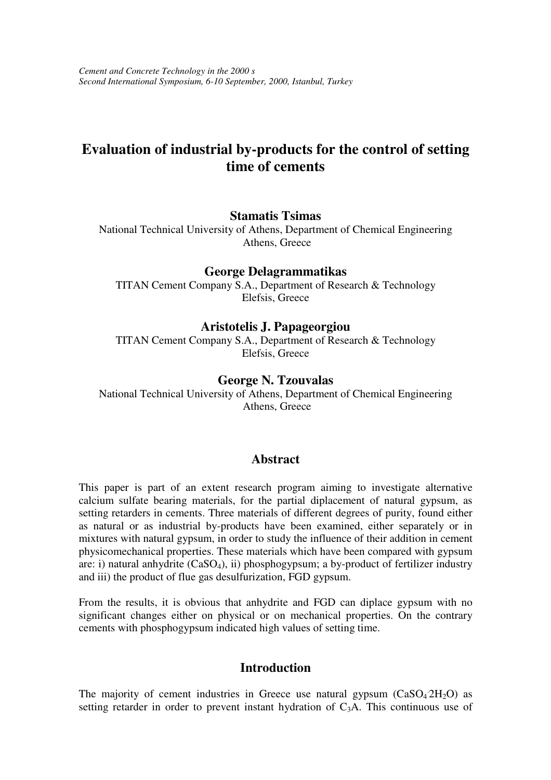# **Evaluation of industrial by-products for the control of setting time of cements**

#### **Stamatis Tsimas**

National Technical University of Athens, Department of Chemical Engineering Athens, Greece

### **George Delagrammatikas**

TITAN Cement Company S.A., Department of Research & Technology Elefsis, Greece

#### **Aristotelis J. Papageorgiou**

TITAN Cement Company S.A., Department of Research & Technology Elefsis, Greece

### **George N. Tzouvalas**

National Technical University of Athens, Department of Chemical Engineering Athens, Greece

#### **Abstract**

This paper is part of an extent research program aiming to investigate alternative calcium sulfate bearing materials, for the partial diplacement of natural gypsum, as setting retarders in cements. Three materials of different degrees of purity, found either as natural or as industrial by-products have been examined, either separately or in mixtures with natural gypsum, in order to study the influence of their addition in cement physicomechanical properties. These materials which have been compared with gypsum are: i) natural anhydrite  $(CaSO<sub>4</sub>)$ , ii) phosphogypsum; a by-product of fertilizer industry and iii) the product of flue gas desulfurization, FGD gypsum.

From the results, it is obvious that anhydrite and FGD can diplace gypsum with no significant changes either on physical or on mechanical properties. On the contrary cements with phosphogypsum indicated high values of setting time.

### **Introduction**

The majority of cement industries in Greece use natural gypsum  $(CaSO<sub>4</sub>2H<sub>2</sub>O)$  as setting retarder in order to prevent instant hydration of  $C_3A$ . This continuous use of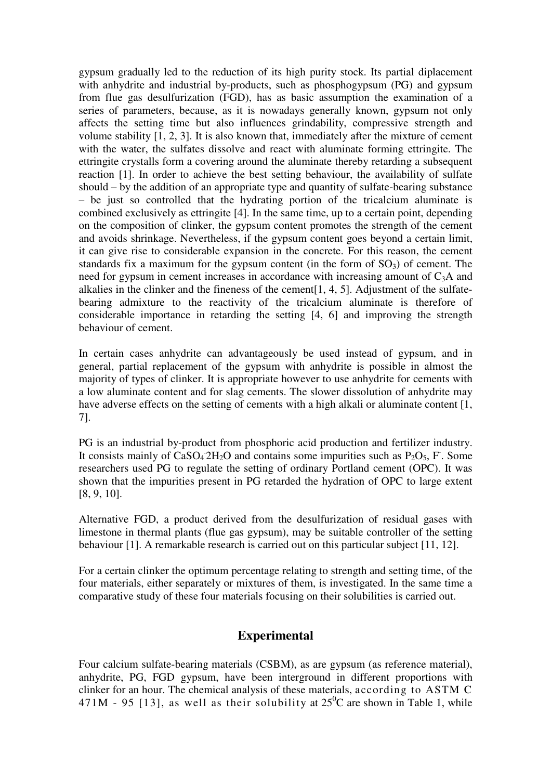gypsum gradually led to the reduction of its high purity stock. Its partial diplacement with anhydrite and industrial by-products, such as phosphogypsum (PG) and gypsum from flue gas desulfurization (FGD), has as basic assumption the examination of a series of parameters, because, as it is nowadays generally known, gypsum not only affects the setting time but also influences grindability, compressive strength and volume stability [1, 2, 3]. It is also known that, immediately after the mixture of cement with the water, the sulfates dissolve and react with aluminate forming ettringite. The ettringite crystalls form a covering around the aluminate thereby retarding a subsequent reaction [1]. In order to achieve the best setting behaviour, the availability of sulfate should – by the addition of an appropriate type and quantity of sulfate-bearing substance – be just so controlled that the hydrating portion of the tricalcium aluminate is combined exclusively as ettringite [4]. In the same time, up to a certain point, depending on the composition of clinker, the gypsum content promotes the strength of the cement and avoids shrinkage. Nevertheless, if the gypsum content goes beyond a certain limit, it can give rise to considerable expansion in the concrete. For this reason, the cement standards fix a maximum for the gypsum content (in the form of  $SO<sub>3</sub>$ ) of cement. The need for gypsum in cement increases in accordance with increasing amount of  $C_3A$  and alkalies in the clinker and the fineness of the cement[1, 4, 5]. Adjustment of the sulfatebearing admixture to the reactivity of the tricalcium aluminate is therefore of considerable importance in retarding the setting [4, 6] and improving the strength behaviour of cement.

In certain cases anhydrite can advantageously be used instead of gypsum, and in general, partial replacement of the gypsum with anhydrite is possible in almost the majority of types of clinker. It is appropriate however to use anhydrite for cements with a low aluminate content and for slag cements. The slower dissolution of anhydrite may have adverse effects on the setting of cements with a high alkali or aluminate content [1, 7].

PG is an industrial by-product from phosphoric acid production and fertilizer industry. It consists mainly of  $\text{CaSO}_42\text{H}_2\text{O}$  and contains some impurities such as P<sub>2</sub>O<sub>5</sub>, F. Some researchers used PG to regulate the setting of ordinary Portland cement (OPC). It was shown that the impurities present in PG retarded the hydration of OPC to large extent [8, 9, 10].

Alternative FGD, a product derived from the desulfurization of residual gases with limestone in thermal plants (flue gas gypsum), may be suitable controller of the setting behaviour [1]. A remarkable research is carried out on this particular subject [11, 12].

For a certain clinker the optimum percentage relating to strength and setting time, of the four materials, either separately or mixtures of them, is investigated. In the same time a comparative study of these four materials focusing on their solubilities is carried out.

### **Experimental**

Four calcium sulfate-bearing materials (CSBM), as are gypsum (as reference material), anhydrite, PG, FGD gypsum, have been interground in different proportions with clinker for an hour. The chemical analysis of these materials, according to ASTM C 471M - 95 [13], as well as their solubility at  $25^{\circ}$ C are shown in Table 1, while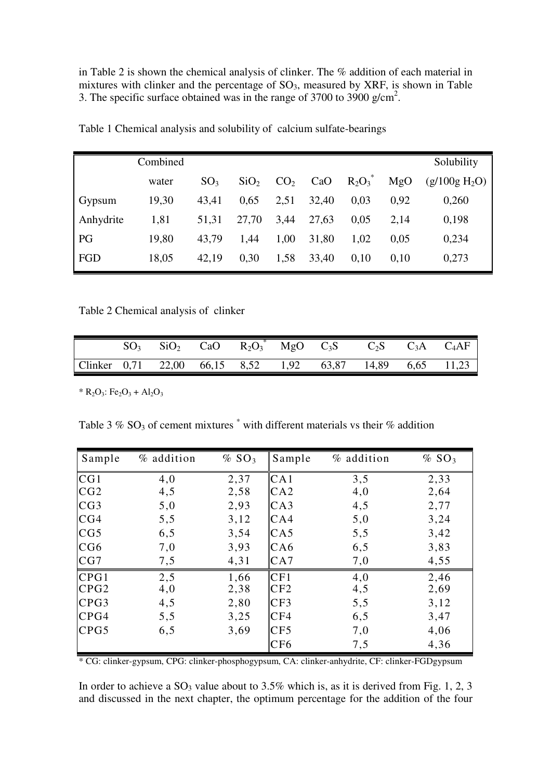in Table 2 is shown the chemical analysis of clinker. The % addition of each material in mixtures with clinker and the percentage of  $SO_3$ , measured by XRF, is shown in Table 3. The specific surface obtained was in the range of 3700 to 3900 g/cm<sup>2</sup>.

|           | Combined |                 |                  |                 |       |            |      | Solubility      |
|-----------|----------|-----------------|------------------|-----------------|-------|------------|------|-----------------|
|           | water    | SO <sub>3</sub> | SiO <sub>2</sub> | CO <sub>2</sub> | CaO   | $R_2O_3^*$ | MgO  | $(g/100g H_2O)$ |
| Gypsum    | 19,30    | 43,41           | 0,65             | 2,51            | 32,40 | 0,03       | 0,92 | 0,260           |
| Anhydrite | 1,81     | 51,31           | 27,70            | 3,44            | 27,63 | 0.05       | 2,14 | 0,198           |
| PG        | 19,80    | 43,79           | 1,44             | 1,00            | 31,80 | 1,02       | 0,05 | 0,234           |
| FGD       | 18,05    | 42,19           | 0.30             | 1,58            | 33,40 | 0,10       | 0,10 | 0,273           |

Table 1 Chemical analysis and solubility of calcium sulfate-bearings

Table 2 Chemical analysis of clinker

|                                                           |  |  |  | $\overline{SO_3}$ $\overline{SiO_2}$ $\overline{CaO}$ $\overline{R_2O_3}^*$ $\overline{MgO}$ $C_3S$ $C_2S$ $C_3A$ $C_4AF$ |  |
|-----------------------------------------------------------|--|--|--|---------------------------------------------------------------------------------------------------------------------------|--|
| Clinker 0,71 22,00 66,15 8,52 1,92 63,87 14,89 6,65 11,23 |  |  |  |                                                                                                                           |  |

\*  $R_2O_3$ : Fe<sub>2</sub>O<sub>3</sub> + Al<sub>2</sub>O<sub>3</sub>

Table 3 %  $SO_3$  of cement mixtures  $\degree$  with different materials vs their % addition

| Sample           | % addition | % SO <sub>3</sub> | Sample | % addition | % SO <sub>3</sub> |
|------------------|------------|-------------------|--------|------------|-------------------|
| CG1              | 4,0        | 2,37              | CA1    | 3,5        | 2,33              |
| CG2              | 4,5        | 2,58              | CA2    | 4,0        | 2,64              |
| CG3              | 5,0        | 2,93              | CA3    | 4,5        | 2,77              |
| CG4              | 5, 5       | 3,12              | CA4    | 5,0        | 3,24              |
| CG5              | 6,5        | 3,54              | CA5    | 5,5        | 3,42              |
| CG6              | 7,0        | 3,93              | CA6    | 6,5        | 3,83              |
| CG7              | 7,5        | 4,31              | CA7    | 7,0        | 4,55              |
| CPG1             | 2,5        | 1,66              | CF1    | 4,0        | 2,46              |
| CPG <sub>2</sub> | 4,0        | 2,38              | CF2    | 4,5        | 2,69              |
| CPG3             | 4,5        | 2,80              | CF3    | 5,5        | 3,12              |
| CPG4             | 5,5        | 3,25              | CF4    | 6,5        | 3,47              |
| CPG5             | 6,5        | 3,69              | CF5    | 7,0        | 4,06              |
|                  |            |                   | CF6    | 7,5        | 4,36              |

\* CG: clinker-gypsum, CPG: clinker-phosphogypsum, CA: clinker-anhydrite, CF: clinker-FGDgypsum

In order to achieve a  $SO_3$  value about to 3.5% which is, as it is derived from Fig. 1, 2, 3 and discussed in the next chapter, the optimum percentage for the addition of the four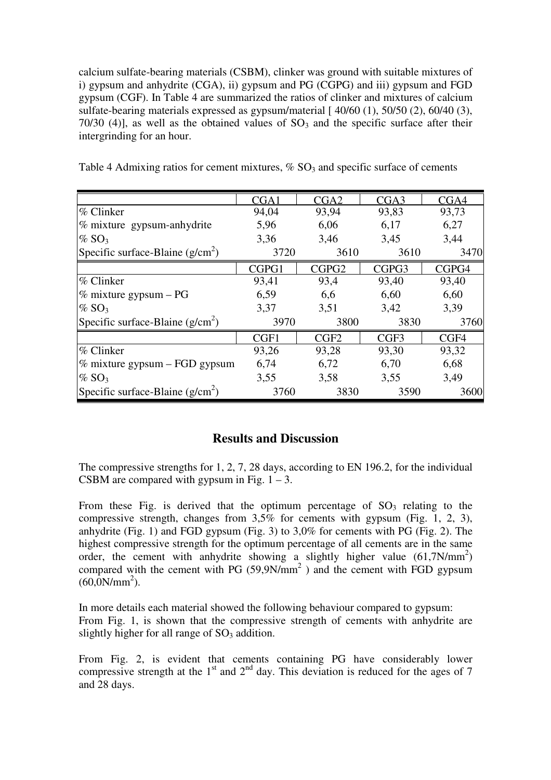calcium sulfate-bearing materials (CSBM), clinker was ground with suitable mixtures of i) gypsum and anhydrite (CGA), ii) gypsum and PG (CGPG) and iii) gypsum and FGD gypsum (CGF). In Table 4 are summarized the ratios of clinker and mixtures of calcium sulfate-bearing materials expressed as gypsum/material [40/60 (1), 50/50 (2), 60/40 (3), 70/30 (4)], as well as the obtained values of  $SO_3$  and the specific surface after their intergrinding for an hour.

|                                    | CGA1  | CGA2              | CGA <sub>3</sub> | CGA4  |  |
|------------------------------------|-------|-------------------|------------------|-------|--|
| $%$ Clinker                        | 94,04 | 93,94             | 93,83            | 93,73 |  |
| % mixture gypsum-anhydrite         | 5,96  | 6,06              | 6,17             | 6,27  |  |
| $\%$ SO <sub>3</sub>               | 3.36  | 3,46              | 3,45             | 3,44  |  |
| Specific surface-Blaine $(g/cm^2)$ | 3720  | 3610              | 3610             | 3470  |  |
|                                    | CGPG1 | CGPG <sub>2</sub> | CGPG3            | CGPG4 |  |
| $%$ Clinker                        | 93,41 | 93,4              | 93,40            | 93,40 |  |
| $\%$ mixture gypsum – PG           | 6,59  | 6,6               | 6,60             | 6,60  |  |
| $\%$ SO <sub>3</sub>               | 3,37  | 3,51              | 3,42             | 3,39  |  |
| Specific surface-Blaine $(g/cm^2)$ | 3970  | 3800              | 3830             | 3760  |  |
|                                    | CGF1  | CGF <sub>2</sub>  | CGF3             | CGF4  |  |
| $\%$ Clinker                       | 93,26 | 93,28             | 93,30            | 93,32 |  |
| $\%$ mixture gypsum – FGD gypsum   | 6,74  | 6,72              | 6,70             | 6,68  |  |
| $\%$ SO <sub>3</sub>               | 3,55  | 3,58              | 3,55             | 3,49  |  |
| Specific surface-Blaine $(g/cm^2)$ | 3760  | 3830              | 3590             | 3600  |  |

Table 4 Admixing ratios for cement mixtures,  $\%$  SO<sub>3</sub> and specific surface of cements

### **Results and Discussion**

The compressive strengths for 1, 2, 7, 28 days, according to EN 196.2, for the individual CSBM are compared with gypsum in Fig.  $1 - 3$ .

From these Fig. is derived that the optimum percentage of  $SO_3$  relating to the compressive strength, changes from 3,5% for cements with gypsum (Fig. 1, 2, 3), anhydrite (Fig. 1) and FGD gypsum (Fig. 3) to 3,0% for cements with PG (Fig. 2). The highest compressive strength for the optimum percentage of all cements are in the same order, the cement with anhydrite showing a slightly higher value (61,7N/mm<sup>2</sup>) compared with the cement with PG  $(59,9N/mm<sup>2</sup>)$  and the cement with FGD gypsum  $(60,0N/mm^2)$ .

In more details each material showed the following behaviour compared to gypsum: From Fig. 1, is shown that the compressive strength of cements with anhydrite are slightly higher for all range of  $SO<sub>3</sub>$  addition.

From Fig. 2, is evident that cements containing PG have considerably lower compressive strength at the  $1<sup>st</sup>$  and  $2<sup>nd</sup>$  day. This deviation is reduced for the ages of 7 and 28 days.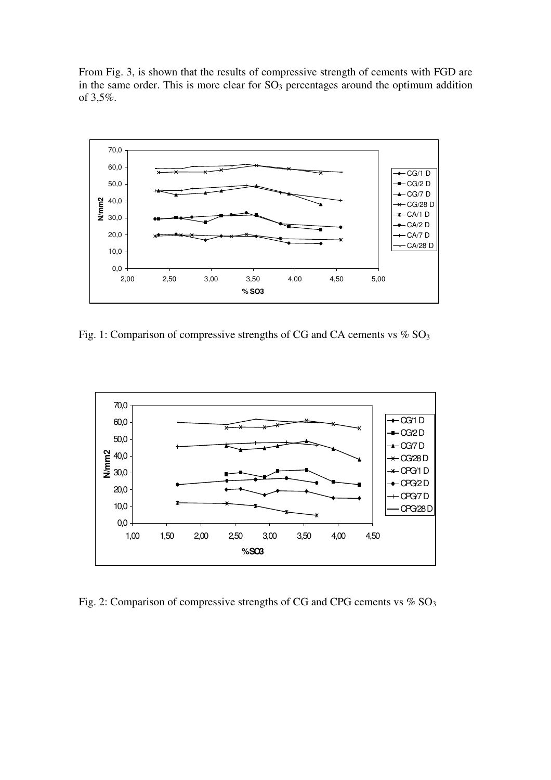From Fig. 3, is shown that the results of compressive strength of cements with FGD are in the same order. This is more clear for  $SO<sub>3</sub>$  percentages around the optimum addition of 3,5%.



Fig. 1: Comparison of compressive strengths of CG and CA cements vs  $\%$  SO<sub>3</sub>



Fig. 2: Comparison of compressive strengths of CG and CPG cements vs  $\%$  SO<sub>3</sub>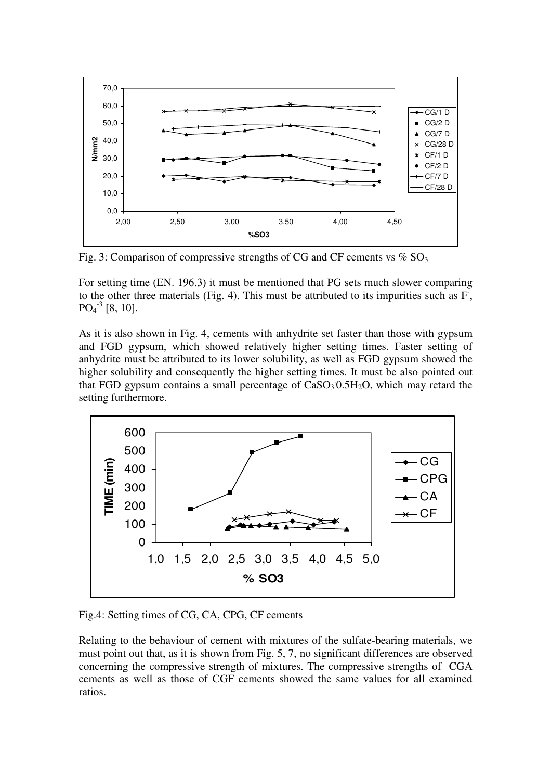

Fig. 3: Comparison of compressive strengths of CG and CF cements vs  $\%$  SO<sub>3</sub>

For setting time (EN. 196.3) it must be mentioned that PG sets much slower comparing to the other three materials (Fig. 4). This must be attributed to its impurities such as F,  $PO<sub>4</sub><sup>-3</sup>$  [8, 10].

As it is also shown in Fig. 4, cements with anhydrite set faster than those with gypsum and FGD gypsum, which showed relatively higher setting times. Faster setting of anhydrite must be attributed to its lower solubility, as well as FGD gypsum showed the higher solubility and consequently the higher setting times. It must be also pointed out that FGD gypsum contains a small percentage of  $CaSO<sub>3</sub> 0.5H<sub>2</sub>O$ , which may retard the setting furthermore.



Fig.4: Setting times of CG, CA, CPG, CF cements

Relating to the behaviour of cement with mixtures of the sulfate-bearing materials, we must point out that, as it is shown from Fig. 5, 7, no significant differences are observed concerning the compressive strength of mixtures. The compressive strengths of CGA cements as well as those of CGF cements showed the same values for all examined ratios.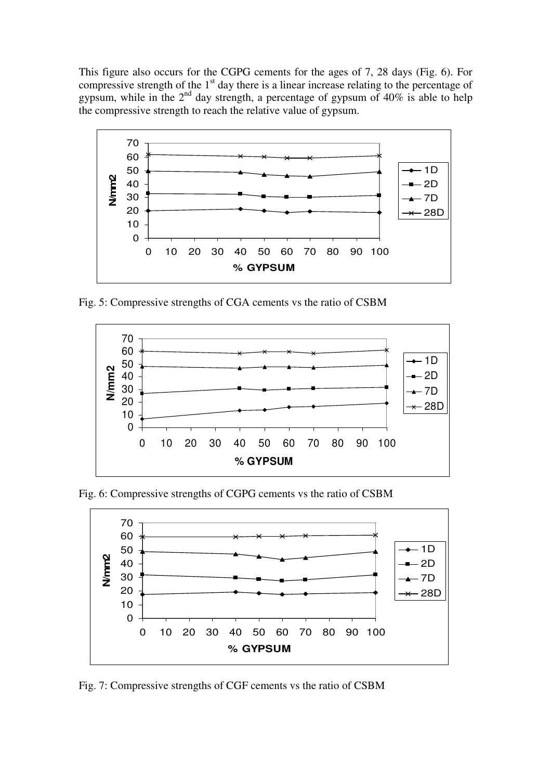This figure also occurs for the CGPG cements for the ages of 7, 28 days (Fig. 6). For compressive strength of the  $1<sup>st</sup>$  day there is a linear increase relating to the percentage of gypsum, while in the  $2<sup>nd</sup>$  day strength, a percentage of gypsum of 40% is able to help the compressive strength to reach the relative value of gypsum.



Fig. 5: Compressive strengths of CGA cements vs the ratio of CSBM



Fig. 6: Compressive strengths of CGPG cements vs the ratio of CSBM



Fig. 7: Compressive strengths of CGF cements vs the ratio of CSBM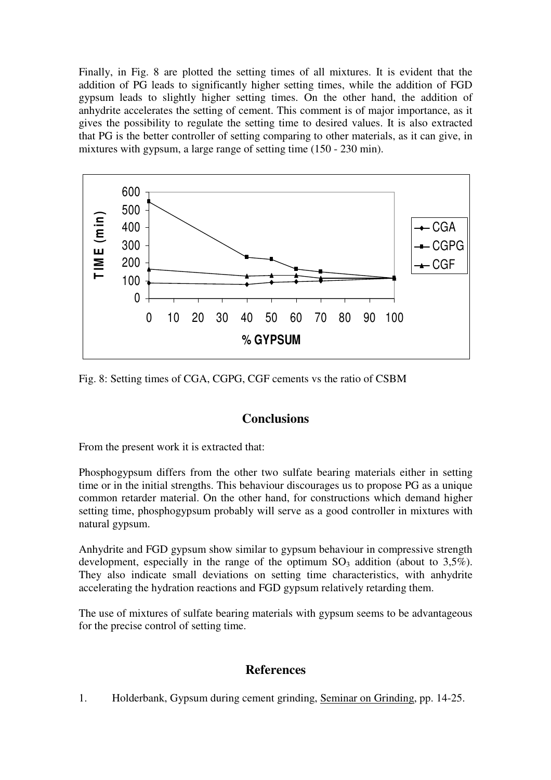Finally, in Fig. 8 are plotted the setting times of all mixtures. It is evident that the addition of PG leads to significantly higher setting times, while the addition of FGD gypsum leads to slightly higher setting times. On the other hand, the addition of anhydrite accelerates the setting of cement. This comment is of major importance, as it gives the possibility to regulate the setting time to desired values. It is also extracted that PG is the better controller of setting comparing to other materials, as it can give, in mixtures with gypsum, a large range of setting time (150 - 230 min).



Fig. 8: Setting times of CGA, CGPG, CGF cements vs the ratio of CSBM

# **Conclusions**

From the present work it is extracted that:

Phosphogypsum differs from the other two sulfate bearing materials either in setting time or in the initial strengths. This behaviour discourages us to propose PG as a unique common retarder material. On the other hand, for constructions which demand higher setting time, phosphogypsum probably will serve as a good controller in mixtures with natural gypsum.

Anhydrite and FGD gypsum show similar to gypsum behaviour in compressive strength development, especially in the range of the optimum  $SO_3$  addition (about to 3,5%). They also indicate small deviations on setting time characteristics, with anhydrite accelerating the hydration reactions and FGD gypsum relatively retarding them.

The use of mixtures of sulfate bearing materials with gypsum seems to be advantageous for the precise control of setting time.

# **References**

1. Holderbank, Gypsum during cement grinding, Seminar on Grinding, pp. 14-25.